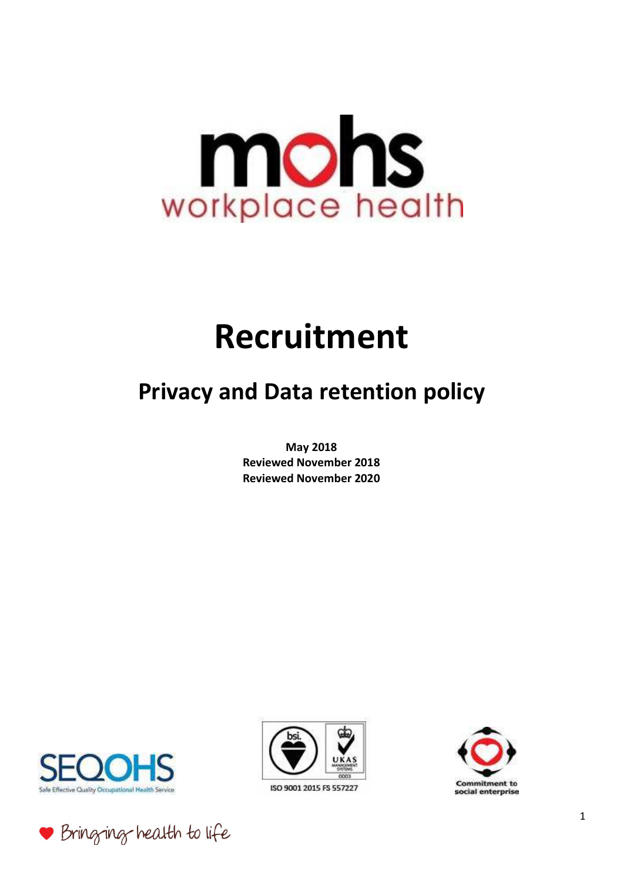# mons workplace health

## **Recruitment**

### **Privacy and Data retention policy**

**May 2018 Reviewed November 2018 Reviewed November 2020** 







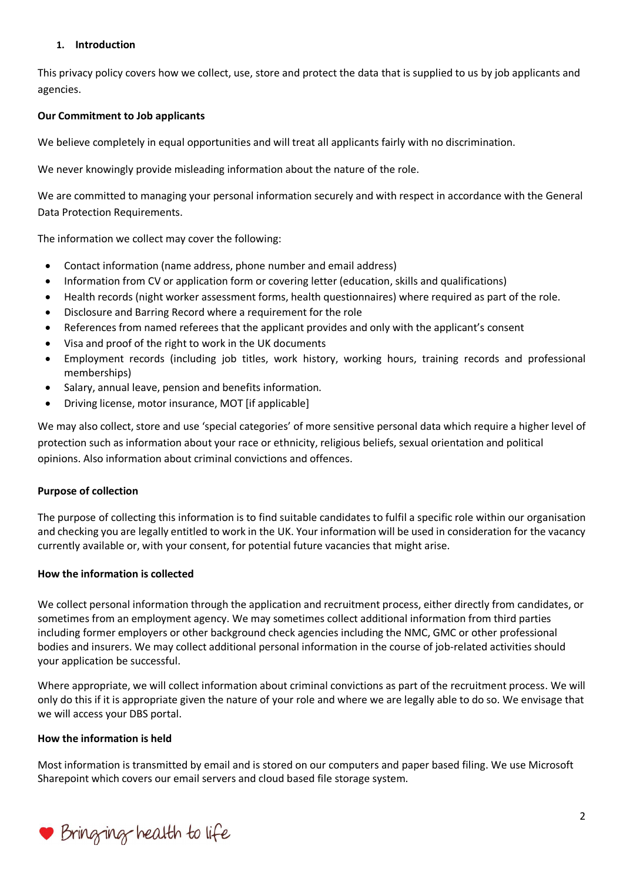#### **1. Introduction**

This privacy policy covers how we collect, use, store and protect the data that is supplied to us by job applicants and agencies.

#### **Our Commitment to Job applicants**

We believe completely in equal opportunities and will treat all applicants fairly with no discrimination.

We never knowingly provide misleading information about the nature of the role.

We are committed to managing your personal information securely and with respect in accordance with the General Data Protection Requirements.

The information we collect may cover the following:

- Contact information (name address, phone number and email address)
- Information from CV or application form or covering letter (education, skills and qualifications)
- Health records (night worker assessment forms, health questionnaires) where required as part of the role.
- Disclosure and Barring Record where a requirement for the role
- References from named referees that the applicant provides and only with the applicant's consent
- Visa and proof of the right to work in the UK documents
- Employment records (including job titles, work history, working hours, training records and professional memberships)
- Salary, annual leave, pension and benefits information.
- Driving license, motor insurance, MOT [if applicable]

We may also collect, store and use 'special categories' of more sensitive personal data which require a higher level of protection such as information about your race or ethnicity, religious beliefs, sexual orientation and political opinions. Also information about criminal convictions and offences.

#### **Purpose of collection**

The purpose of collecting this information is to find suitable candidates to fulfil a specific role within our organisation and checking you are legally entitled to work in the UK. Your information will be used in consideration for the vacancy currently available or, with your consent, for potential future vacancies that might arise.

#### **How the information is collected**

We collect personal information through the application and recruitment process, either directly from candidates, or sometimes from an employment agency. We may sometimes collect additional information from third parties including former employers or other background check agencies including the NMC, GMC or other professional bodies and insurers. We may collect additional personal information in the course of job-related activities should your application be successful.

Where appropriate, we will collect information about criminal convictions as part of the recruitment process. We will only do this if it is appropriate given the nature of your role and where we are legally able to do so. We envisage that we will access your DBS portal.

#### **How the information is held**

Most information is transmitted by email and is stored on our computers and paper based filing. We use Microsoft Sharepoint which covers our email servers and cloud based file storage system.